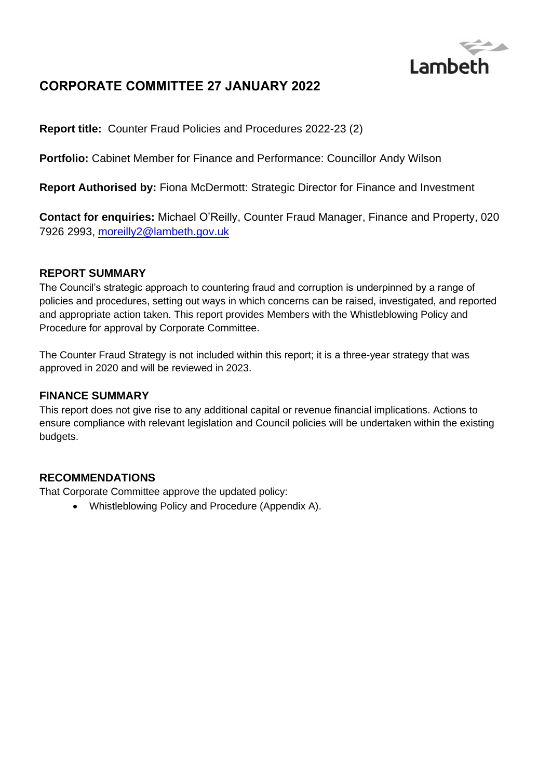

# **CORPORATE COMMITTEE 27 JANUARY 2022**

**Report title:** Counter Fraud Policies and Procedures 2022-23 (2)

**Portfolio:** Cabinet Member for Finance and Performance: Councillor Andy Wilson

**Report Authorised by:** Fiona McDermott: Strategic Director for Finance and Investment

**Contact for enquiries:** Michael O'Reilly, Counter Fraud Manager, Finance and Property, 020 7926 2993, [moreilly2@lambeth.gov.uk](mailto:moreilly2@lambeth.gov.uk)

#### **REPORT SUMMARY**

The Council's strategic approach to countering fraud and corruption is underpinned by a range of policies and procedures, setting out ways in which concerns can be raised, investigated, and reported and appropriate action taken. This report provides Members with the Whistleblowing Policy and Procedure for approval by Corporate Committee.

The Counter Fraud Strategy is not included within this report; it is a three-year strategy that was approved in 2020 and will be reviewed in 2023.

#### **FINANCE SUMMARY**

This report does not give rise to any additional capital or revenue financial implications. Actions to ensure compliance with relevant legislation and Council policies will be undertaken within the existing budgets.

#### **RECOMMENDATIONS**

That Corporate Committee approve the updated policy:

• Whistleblowing Policy and Procedure (Appendix A).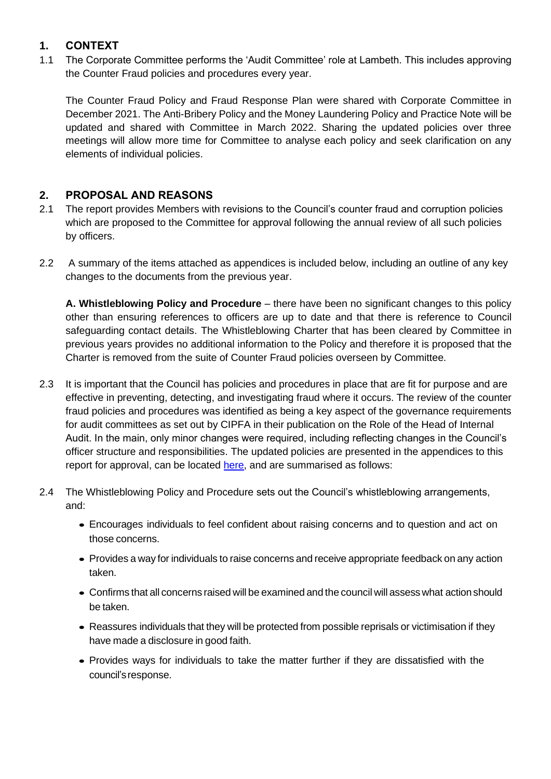### **1. CONTEXT**

1.1 The Corporate Committee performs the 'Audit Committee' role at Lambeth. This includes approving the Counter Fraud policies and procedures every year.

The Counter Fraud Policy and Fraud Response Plan were shared with Corporate Committee in December 2021. The Anti-Bribery Policy and the Money Laundering Policy and Practice Note will be updated and shared with Committee in March 2022. Sharing the updated policies over three meetings will allow more time for Committee to analyse each policy and seek clarification on any elements of individual policies.

## **2. PROPOSAL AND REASONS**

- 2.1 The report provides Members with revisions to the Council's counter fraud and corruption policies which are proposed to the Committee for approval following the annual review of all such policies by officers.
- 2.2 A summary of the items attached as appendices is included below, including an outline of any key changes to the documents from the previous year.

**A. Whistleblowing Policy and Procedure** – there have been no significant changes to this policy other than ensuring references to officers are up to date and that there is reference to Council safeguarding contact details. The Whistleblowing Charter that has been cleared by Committee in previous years provides no additional information to the Policy and therefore it is proposed that the Charter is removed from the suite of Counter Fraud policies overseen by Committee.

- 2.3 It is important that the Council has policies and procedures in place that are fit for purpose and are effective in preventing, detecting, and investigating fraud where it occurs. The review of the counter fraud policies and procedures was identified as being a key aspect of the governance requirements for audit committees as set out by CIPFA in their publication on the Role of the Head of Internal Audit. In the main, only minor changes were required, including reflecting changes in the Council's officer structure and responsibilities. The updated policies are presented in the appendices to this report for approval, can be located [here,](https://moderngov.lambeth.gov.uk/ieIssueDetails.aspx?IId=64298&PlanId=0&Opt=3#AI49744) and are summarised as follows:
- 2.4 The Whistleblowing Policy and Procedure sets out the Council's whistleblowing arrangements, and:
	- Encourages individuals to feel confident about raising concerns and to question and act on those concerns.
	- Provides a way for individuals to raise concerns and receive appropriate feedback on any action taken.
	- Confirms that all concerns raised will be examined and the council will assess what action should be taken.
	- Reassures individuals that they will be protected from possible reprisals or victimisation if they have made a disclosure in good faith.
	- Provides ways for individuals to take the matter further if they are dissatisfied with the council's response.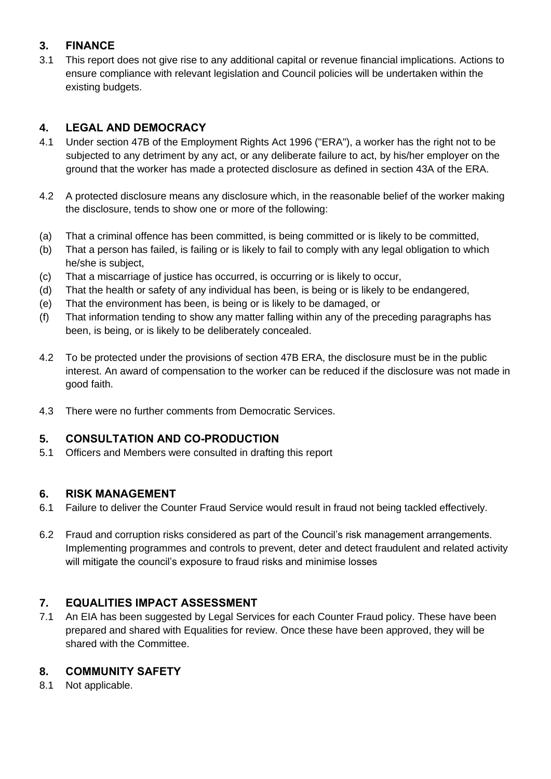## **3. FINANCE**

3.1 This report does not give rise to any additional capital or revenue financial implications. Actions to ensure compliance with relevant legislation and Council policies will be undertaken within the existing budgets.

## **4. LEGAL AND DEMOCRACY**

- 4.1 Under section 47B of the Employment Rights Act 1996 ("ERA"), a worker has the right not to be subjected to any detriment by any act, or any deliberate failure to act, by his/her employer on the ground that the worker has made a protected disclosure as defined in section 43A of the ERA.
- 4.2 A protected disclosure means any disclosure which, in the reasonable belief of the worker making the disclosure, tends to show one or more of the following:
- (a) That a criminal offence has been committed, is being committed or is likely to be committed,
- (b) That a person has failed, is failing or is likely to fail to comply with any legal obligation to which he/she is subject,
- (c) That a miscarriage of justice has occurred, is occurring or is likely to occur,
- (d) That the health or safety of any individual has been, is being or is likely to be endangered,
- (e) That the environment has been, is being or is likely to be damaged, or
- (f) That information tending to show any matter falling within any of the preceding paragraphs has been, is being, or is likely to be deliberately concealed.
- 4.2 To be protected under the provisions of section 47B ERA, the disclosure must be in the public interest. An award of compensation to the worker can be reduced if the disclosure was not made in good faith.
- 4.3 There were no further comments from Democratic Services.

### **5. CONSULTATION AND CO-PRODUCTION**

5.1 Officers and Members were consulted in drafting this report

### **6. RISK MANAGEMENT**

- 6.1 Failure to deliver the Counter Fraud Service would result in fraud not being tackled effectively.
- 6.2 Fraud and corruption risks considered as part of the Council's risk management arrangements. Implementing programmes and controls to prevent, deter and detect fraudulent and related activity will mitigate the council's exposure to fraud risks and minimise losses

## **7. EQUALITIES IMPACT ASSESSMENT**

7.1 An EIA has been suggested by Legal Services for each Counter Fraud policy. These have been prepared and shared with Equalities for review. Once these have been approved, they will be shared with the Committee.

### **8. COMMUNITY SAFETY**

8.1 Not applicable.